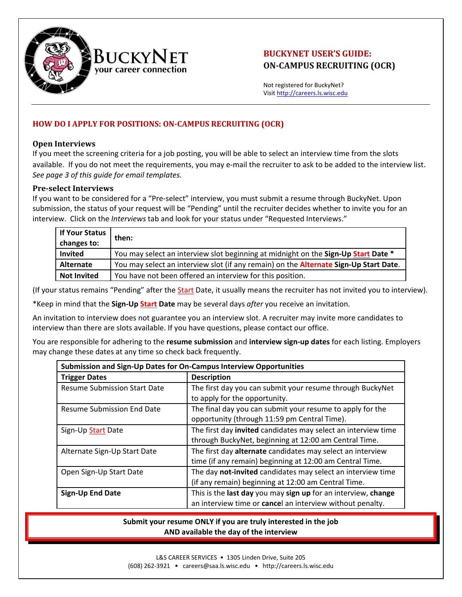

# **BUCKYNET USER'S GUIDE: ON‐CAMPUS RECRUITING (OCR)**

Not registered for BuckyNet? Visit http://careers.ls.wisc.edu

## **HOW DO I APPLY FOR POSITIONS: ON‐CAMPUS RECRUITING (OCR)**

### **Open Interviews**

If you meet the screening criteria for a job posting, you will be able to select an interview time from the slots available. If you do not meet the requirements, you may e-mail the recruiter to ask to be added to the interview list. *See page 3 of this guide for email templates.*

### **Pre‐select Interviews**

If you want to be considered for a "Pre‐select" interview, you must submit a resume through BuckyNet. Upon submission, the status of your request will be "Pending" until the recruiter decides whether to invite you for an interview. Click on the *Interviews* tab and look for your status under "Requested Interviews."

| If Your Status<br>changes to: | then:                                                                                         |
|-------------------------------|-----------------------------------------------------------------------------------------------|
| <b>Invited</b>                | You may select an interview slot beginning at midnight on the Sign-Up Start Date *            |
| Alternate                     | You may select an interview slot (if any remain) on the <b>Alternate Sign-Up Start Date</b> . |
| <b>Not Invited</b>            | You have not been offered an interview for this position.                                     |

(If your status remains "Pending" after the **Start** Date, it usually means the recruiter has not invited you to interview).

\*Keep in mind that the **Sign‐Up Start Date** may be several days *after* you receive an invitation.

An invitation to interview does not guarantee you an interview slot. A recruiter may invite more candidates to interview than there are slots available. If you have questions, please contact our office.

You are responsible for adhering to the **resume submission** and **interview sign‐up dates** for each listing. Employers may change these dates at any time so check back frequently.

| Submission and Sign-Up Dates for On-Campus Interview Opportunities |                                                                                                                            |  |  |
|--------------------------------------------------------------------|----------------------------------------------------------------------------------------------------------------------------|--|--|
| <b>Trigger Dates</b>                                               | <b>Description</b>                                                                                                         |  |  |
| <b>Resume Submission Start Date</b>                                | The first day you can submit your resume through BuckyNet<br>to apply for the opportunity.                                 |  |  |
| <b>Resume Submission End Date</b>                                  | The final day you can submit your resume to apply for the<br>opportunity (through 11:59 pm Central Time).                  |  |  |
| Sign-Up Start Date                                                 | The first day invited candidates may select an interview time<br>through BuckyNet, beginning at 12:00 am Central Time.     |  |  |
| Alternate Sign-Up Start Date                                       | The first day alternate candidates may select an interview<br>time (if any remain) beginning at 12:00 am Central Time.     |  |  |
| Open Sign-Up Start Date                                            | The day not-invited candidates may select an interview time<br>(if any remain) beginning at 12:00 am Central Time.         |  |  |
| <b>Sign-Up End Date</b>                                            | This is the last day you may sign up for an interview, change<br>an interview time or cancel an interview without penalty. |  |  |

### **Submit your resume ONLY if you are truly interested in the job AND available the day of the interview**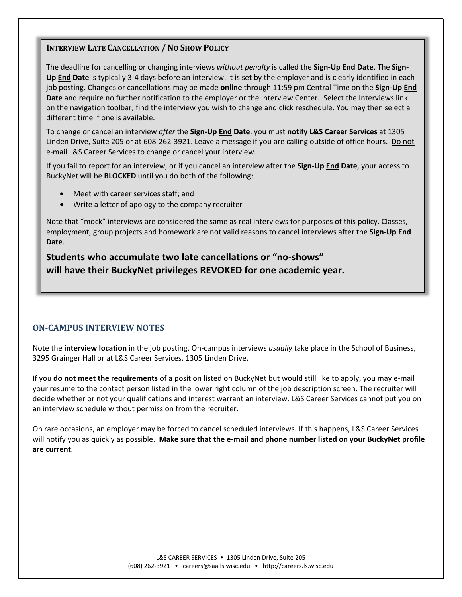### **INTERVIEW LATE CANCELLATION / NO SHOW POLICY**

The deadline for cancelling or changing interviews *without penalty* is called the **Sign‐Up End Date**. The **Sign‐ Up End Date** is typically 3‐4 days before an interview. It is set by the employer and is clearly identified in each job posting. Changes or cancellations may be made **online** through 11:59 pm Central Time on the **Sign‐Up End Date** and require no further notification to the employer or the Interview Center. Select the Interviews link on the navigation toolbar, find the interview you wish to change and click reschedule. You may then select a different time if one is available.

To change or cancel an interview *after* the **Sign‐Up End Date**, you must **notify L&S Career Services** at 1305 Linden Drive, Suite 205 or at 608‐262‐3921. Leave a message if you are calling outside of office hours. Do not e‐mail L&S Career Services to change or cancel your interview.

If you fail to report for an interview, or if you cancel an interview after the **Sign‐Up End Date**, your access to BuckyNet will be **BLOCKED** until you do both of the following:

- Meet with career services staff; and
- Write a letter of apology to the company recruiter

Note that "mock" interviews are considered the same as real interviews for purposes of this policy. Classes, employment, group projects and homework are not valid reasons to cancel interviews after the **Sign‐Up End Date**.

**Students who accumulate two late cancellations or "no‐shows" will have their BuckyNet privileges REVOKED for one academic year.**

# **ON‐CAMPUS INTERVIEW NOTES**

Note the **interview location** in the job posting. On‐campus interviews *usually* take place in the School of Business, 3295 Grainger Hall or at L&S Career Services, 1305 Linden Drive.

If you **do not meet the requirements** of a position listed on BuckyNet but would still like to apply, you may e‐mail your resume to the contact person listed in the lower right column of the job description screen. The recruiter will decide whether or not your qualifications and interest warrant an interview. L&S Career Services cannot put you on an interview schedule without permission from the recruiter.

On rare occasions, an employer may be forced to cancel scheduled interviews. If this happens, L&S Career Services will notify you as quickly as possible. **Make sure that the e‐mail and phone number listed on your BuckyNet profile are current**.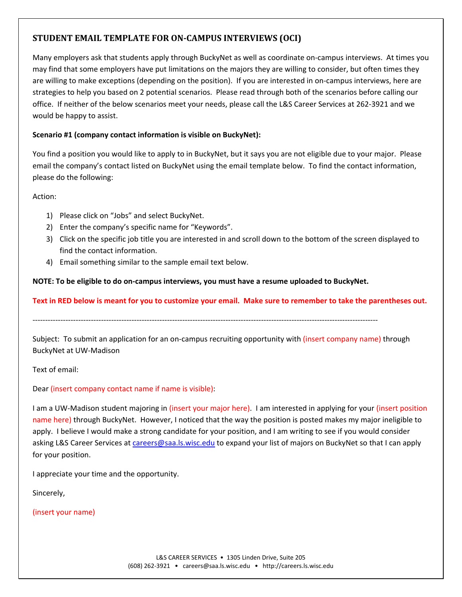# **STUDENT EMAIL TEMPLATE FOR ON‐CAMPUS INTERVIEWS (OCI)**

Many employers ask that students apply through BuckyNet as well as coordinate on-campus interviews. At times you may find that some employers have put limitations on the majors they are willing to consider, but often times they are willing to make exceptions (depending on the position). If you are interested in on‐campus interviews, here are strategies to help you based on 2 potential scenarios. Please read through both of the scenarios before calling our office. If neither of the below scenarios meet your needs, please call the L&S Career Services at 262‐3921 and we would be happy to assist.

### **Scenario #1 (company contact information is visible on BuckyNet):**

You find a position you would like to apply to in BuckyNet, but it says you are not eligible due to your major. Please email the company's contact listed on BuckyNet using the email template below. To find the contact information, please do the following:

Action:

- 1) Please click on "Jobs" and select BuckyNet.
- 2) Enter the company's specific name for "Keywords".
- 3) Click on the specific job title you are interested in and scroll down to the bottom of the screen displayed to find the contact information.
- 4) Email something similar to the sample email text below.

**NOTE: To be eligible to do on‐campus interviews, you must have a resume uploaded to BuckyNet.**

Text in RED below is meant for you to customize your email. Make sure to remember to take the parentheses out.

‐‐‐‐‐‐‐‐‐‐‐‐‐‐‐‐‐‐‐‐‐‐‐‐‐‐‐‐‐‐‐‐‐‐‐‐‐‐‐‐‐‐‐‐‐‐‐‐‐‐‐‐‐‐‐‐‐‐‐‐‐‐‐‐‐‐‐‐‐‐‐‐‐‐‐‐‐‐‐‐‐‐‐‐‐‐‐‐‐‐‐‐‐‐‐‐‐‐‐‐‐‐‐‐‐‐‐‐‐‐‐‐‐‐‐‐‐‐‐‐‐‐‐‐‐‐‐‐‐‐‐‐‐‐‐‐

Subject: To submit an application for an on-campus recruiting opportunity with (insert company name) through BuckyNet at UW‐Madison

Text of email:

Dear (insert company contact name if name is visible):

I am a UW‐Madison student majoring in (insert your major here). I am interested in applying for your (insert position name here) through BuckyNet. However, I noticed that the way the position is posted makes my major ineligible to apply. I believe I would make a strong candidate for your position, and I am writing to see if you would consider asking L&S Career Services at careers@saa.ls.wisc.edu to expand your list of majors on BuckyNet so that I can apply for your position.

I appreciate your time and the opportunity.

Sincerely,

(insert your name)